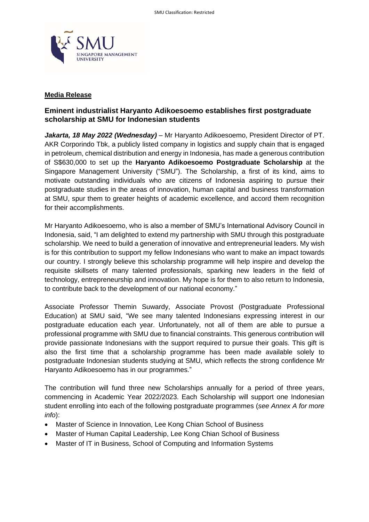

### **Media Release**

# **Eminent industrialist Haryanto Adikoesoemo establishes first postgraduate scholarship at SMU for Indonesian students**

*Jakarta, 18 May 2022 (Wednesday)* – Mr Haryanto Adikoesoemo, President Director of PT. AKR Corporindo Tbk, a publicly listed company in logistics and supply chain that is engaged in petroleum, chemical distribution and energy in Indonesia, has made a generous contribution of S\$630,000 to set up the **Haryanto Adikoesoemo Postgraduate Scholarship** at the Singapore Management University ("SMU"). The Scholarship, a first of its kind, aims to motivate outstanding individuals who are citizens of Indonesia aspiring to pursue their postgraduate studies in the areas of innovation, human capital and business transformation at SMU, spur them to greater heights of academic excellence, and accord them recognition for their accomplishments.

Mr Haryanto Adikoesoemo, who is also a member of SMU's International Advisory Council in Indonesia, said, "I am delighted to extend my partnership with SMU through this postgraduate scholarship. We need to build a generation of innovative and entrepreneurial leaders. My wish is for this contribution to support my fellow Indonesians who want to make an impact towards our country. I strongly believe this scholarship programme will help inspire and develop the requisite skillsets of many talented professionals, sparking new leaders in the field of technology, entrepreneurship and innovation. My hope is for them to also return to Indonesia, to contribute back to the development of our national economy."

Associate Professor Themin Suwardy, Associate Provost (Postgraduate Professional Education) at SMU said, "We see many talented Indonesians expressing interest in our postgraduate education each year. Unfortunately, not all of them are able to pursue a professional programme with SMU due to financial constraints. This generous contribution will provide passionate Indonesians with the support required to pursue their goals. This gift is also the first time that a scholarship programme has been made available solely to postgraduate Indonesian students studying at SMU, which reflects the strong confidence Mr Haryanto Adikoesoemo has in our programmes."

The contribution will fund three new Scholarships annually for a period of three years, commencing in Academic Year 2022/2023. Each Scholarship will support one Indonesian student enrolling into each of the following postgraduate programmes (*see Annex A for more info*):

- Master of Science in Innovation, Lee Kong Chian School of Business
- Master of Human Capital Leadership, Lee Kong Chian School of Business
- Master of IT in Business, School of Computing and Information Systems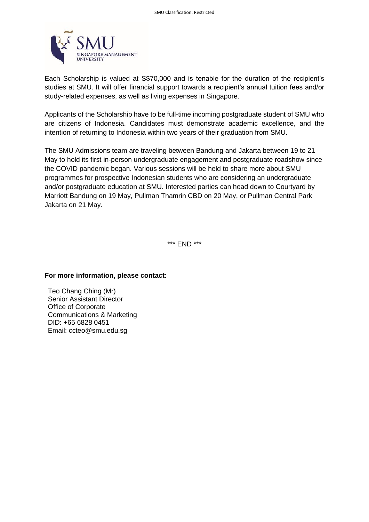

Each Scholarship is valued at S\$70,000 and is tenable for the duration of the recipient's studies at SMU. It will offer financial support towards a recipient's annual tuition fees and/or study-related expenses, as well as living expenses in Singapore.

Applicants of the Scholarship have to be full-time incoming postgraduate student of SMU who are citizens of Indonesia. Candidates must demonstrate academic excellence, and the intention of returning to Indonesia within two years of their graduation from SMU.

The SMU Admissions team are traveling between Bandung and Jakarta between 19 to 21 May to hold its first in-person undergraduate engagement and postgraduate roadshow since the COVID pandemic began. Various sessions will be held to share more about SMU programmes for prospective Indonesian students who are considering an undergraduate and/or postgraduate education at SMU. Interested parties can head down to Courtyard by Marriott Bandung on 19 May, Pullman Thamrin CBD on 20 May, or Pullman Central Park Jakarta on 21 May.

\*\*\* END \*\*\*

#### **For more information, please contact:**

Teo Chang Ching (Mr) Senior Assistant Director Office of Corporate Communications & Marketing DID: +65 6828 0451 Email: ccteo@smu.edu.sg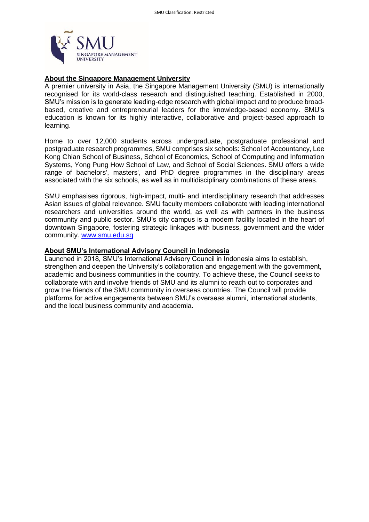

## **About the Singapore Management University**

A premier university in Asia, the Singapore Management University (SMU) is internationally recognised for its world-class research and distinguished teaching. Established in 2000, SMU's mission is to generate leading-edge research with global impact and to produce broadbased, creative and entrepreneurial leaders for the knowledge-based economy. SMU's education is known for its highly interactive, collaborative and project-based approach to learning.

Home to over 12,000 students across undergraduate, postgraduate professional and postgraduate research programmes, SMU comprises six schools: School of Accountancy, Lee Kong Chian School of Business, School of Economics, School of Computing and Information Systems, Yong Pung How School of Law, and School of Social Sciences. SMU offers a wide range of bachelors', masters', and PhD degree programmes in the disciplinary areas associated with the six schools, as well as in multidisciplinary combinations of these areas.

SMU emphasises rigorous, high-impact, multi- and interdisciplinary research that addresses Asian issues of global relevance. SMU faculty members collaborate with leading international researchers and universities around the world, as well as with partners in the business community and public sector. SMU's city campus is a modern facility located in the heart of downtown Singapore, fostering strategic linkages with business, government and the wider community. [www.smu.edu.sg](http://www.smu.edu.sg/)

## **About SMU's International Advisory Council in Indonesia**

Launched in 2018, SMU's International Advisory Council in Indonesia aims to establish, strengthen and deepen the University's collaboration and engagement with the government, academic and business communities in the country. To achieve these, the Council seeks to collaborate with and involve friends of SMU and its alumni to reach out to corporates and grow the friends of the SMU community in overseas countries. The Council will provide platforms for active engagements between SMU's overseas alumni, international students, and the local business community and academia.